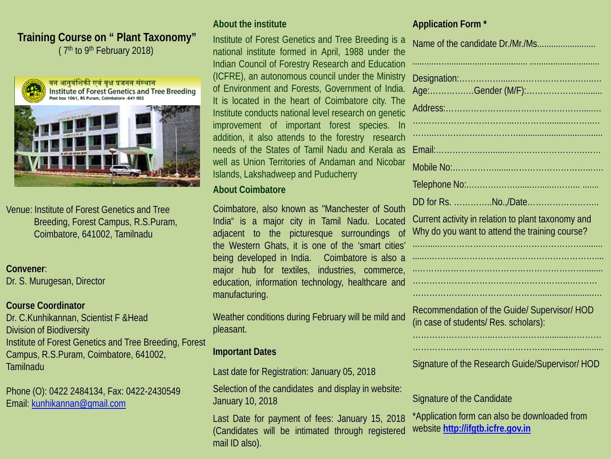# **Training Course on " Plant Taxonomy"** ( $7<sup>th</sup>$  to  $9<sup>th</sup>$  February 2018)



वन आनुवंशिकी एवं वृक्ष प्रजनन संस्थान Institute of Forest Genetics and Tree Breeding Post box 1061, RS Puram, Coimbatore -641 002



Venue: Institute of Forest Genetics and Tree Breeding, Forest Campus, R.S.Puram, Coimbatore, 641002, Tamilnadu

### **Convener**:

Dr. S. Murugesan, Director

#### **Course Coordinator**

Dr. C.Kunhikannan, Scientist F &Head Division of Biodiversity Institute of Forest Genetics and Tree Breeding, Forest Campus, R.S.Puram, Coimbatore, 641002, Tamilnadu

Phone (O): 0422 2484134, Fax: 0422-2430549 Email: [kunhikannan@gmail.com](mailto:kunhikannan@gmail.com)

## **About the institute**

Institute of Forest Genetics and Tree Breeding is a national institute formed in April, 1988 under the Indian Council of Forestry Research and Education (ICFRE), an autonomous council under the Ministry of Environment and Forests, Government of India. It is located in the heart of Coimbatore city. The Institute conducts national level research on genetic improvement of important forest species. In addition, it also attends to the forestry research needs of the States of Tamil Nadu and Kerala as well as Union Territories of Andaman and Nicobar Islands, Lakshadweep and Puducherry

#### **About Coimbatore**

Coimbatore, also known as "Manchester of South India" is a major city in Tamil Nadu. Located adjacent to the picturesque surroundings of the Western Ghats, it is one of the 'smart cities' being developed in India. Coimbatore is also a major hub for textiles, industries, commerce, education, information technology, healthcare and manufacturing.

Weather conditions during February will be mild and pleasant.

## **Important Dates**

Last date for Registration: January 05, 2018

Selection of the candidates and display in website: January 10, 2018

Last Date for payment of fees: January 15, 2018 (Candidates will be intimated through registered mail ID also).

## **Application Form \***

| Name of the candidate Dr./Mr./Ms                                                                     |
|------------------------------------------------------------------------------------------------------|
|                                                                                                      |
|                                                                                                      |
|                                                                                                      |
|                                                                                                      |
|                                                                                                      |
|                                                                                                      |
|                                                                                                      |
| Current activity in relation to plant taxonomy and<br>Why do you want to attend the training course? |
|                                                                                                      |
|                                                                                                      |
|                                                                                                      |
| Recommendation of the Guide/ Supervisor/ HOD<br>(in case of students/ Res. scholars):                |
| Signature of the Research Guide/Supervisor/HOD                                                       |
| Signature of the Candidate                                                                           |

\*Application form can also be downloaded from website **[http://ifgtb.icfre.gov.in](http://ifgtb.icfre.gov.in/)**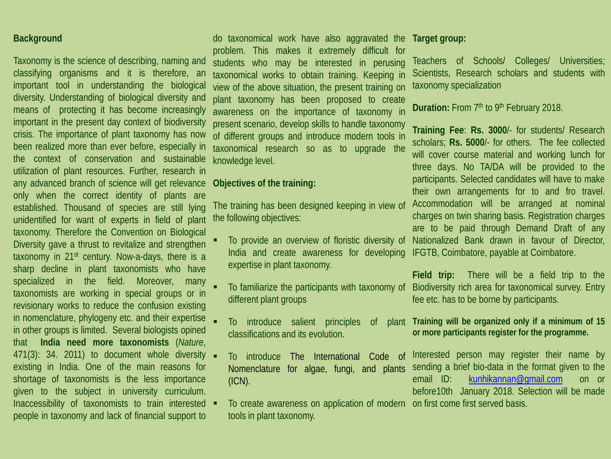### **Background**

Taxonomy is the science of describing, naming and classifying organisms and it is therefore, an important tool in understanding the biological diversity. Understanding of biological diversity and means of protecting it has become increasingly important in the present day context of biodiversity crisis. The importance of plant taxonomy has now been realized more than ever before, especially in the context of conservation and sustainable utilization of plant resources. Further, research in any advanced branch of science will get relevance only when the correct identity of plants are established. Thousand of species are still lying unidentified for want of experts in field of plant taxonomy. Therefore the Convention on Biological Diversity gave a thrust to revitalize and strengthen taxonomy in 21st century. Now-a-days, there is a sharp decline in plant taxonomists who have specialized in the field. Moreover, many taxonomists are working in special groups or in revisionary works to reduce the confusion existing in nomenclature, phylogeny etc. and their expertise in other groups is limited. Several biologists opined that **India need more taxonomists** (*Nature*, 471(3): 34. 2011) to document whole diversity existing in India. One of the main reasons for shortage of taxonomists is the less importance given to the subject in university curriculum. Inaccessibility of taxonomists to train interested  $\blacksquare$ people in taxonomy and lack of financial support to

do taxonomical work have also aggravated the problem. This makes it extremely difficult for students who may be interested in perusing taxonomical works to obtain training. Keeping in view of the above situation, the present training on plant taxonomy has been proposed to create awareness on the importance of taxonomy in present scenario, develop skills to handle taxonomy of different groups and introduce modern tools in taxonomical research so as to upgrade the knowledge level.

#### **Objectives of the training:**

The training has been designed keeping in view of the following objectives:

- To provide an overview of floristic diversity of India and create awareness for developing expertise in plant taxonomy.
- To familiarize the participants with taxonomy of different plant groups
- To introduce salient principles of classifications and its evolution.
- To introduce The International Code of Nomenclature for algae, fungi, and plants (ICN).
- $\blacksquare$  To create awareness on application of modern on first come first served basis. tools in plant taxonomy.

#### **Target group:**

Teachers of Schools/ Colleges/ Universities; Scientists, Research scholars and students with taxonomy specialization

**Duration:** From 7<sup>th</sup> to 9<sup>th</sup> February 2018.

**Training Fee**: **Rs. 3000**/- for students/ Research scholars; **Rs. 5000**/- for others. The fee collected will cover course material and working lunch for three days. No TA/DA will be provided to the participants. Selected candidates will have to make their own arrangements for to and fro travel. Accommodation will be arranged at nominal charges on twin sharing basis. Registration charges are to be paid through Demand Draft of any Nationalized Bank drawn in favour of Director, IFGTB, Coimbatore, payable at Coimbatore.

**Field trip:** There will be a field trip to the Biodiversity rich area for taxonomical survey. Entry fee etc. has to be borne by participants.

#### **Training will be organized only if a minimum of 15 or more participants register for the programme.**

Interested person may register their name by sending a brief bio-data in the format given to the email ID: [kunhikannan@gmail.com](mailto:kunhikannan@gmail.com) on or before10th January 2018. Selection will be made